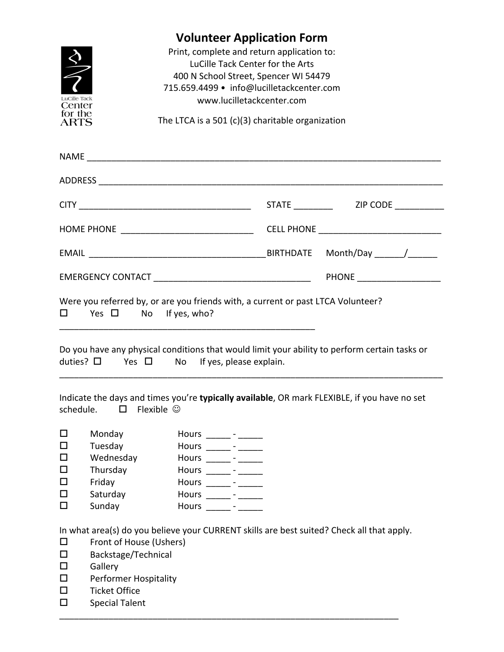

## **Volunteer Application Form**

Print, complete and return application to: LuCille Tack Center for the Arts 400 N School Street, Spencer WI 54479 715.659.4499 • info@lucilletackcenter.com www.lucilletackcenter.com

The LTCA is a 501 (c)(3) charitable organization

|                                                     |                                                                                                                   |                                                                                                                                                                                                    | PHONE _____________________                                                                   |
|-----------------------------------------------------|-------------------------------------------------------------------------------------------------------------------|----------------------------------------------------------------------------------------------------------------------------------------------------------------------------------------------------|-----------------------------------------------------------------------------------------------|
| 0                                                   | Yes $\square$ No If yes, who?                                                                                     | Were you referred by, or are you friends with, a current or past LTCA Volunteer?                                                                                                                   |                                                                                               |
|                                                     |                                                                                                                   | duties? $\Box$ Yes $\Box$ No If yes, please explain.                                                                                                                                               | Do you have any physical conditions that would limit your ability to perform certain tasks or |
|                                                     | schedule. $\Box$ Flexible $\odot$                                                                                 |                                                                                                                                                                                                    | Indicate the days and times you're typically available, OR mark FLEXIBLE, if you have no set  |
| $\Box$<br>$\Box$<br>$\Box$<br>$\Box$<br>□<br>□<br>□ | Monday<br>Tuesday<br>Wednesday<br>Thursday<br>Friday<br>Saturday<br>Sunday                                        | Hours _______ - ______<br>Hours _______ - ______<br>Hours _______ - ______<br>Hours _______ - ______<br>Hours $\frac{\ }{\ }$ - $\frac{\ }{\ }$<br>Hours ______ - ______<br>Hours _______ - ______ |                                                                                               |
| □<br>□<br>$\Box$<br>$\Box$<br>$\Box$                | Front of House (Ushers)<br>Backstage/Technical<br>Gallery<br><b>Performer Hospitality</b><br><b>Ticket Office</b> |                                                                                                                                                                                                    | In what area(s) do you believe your CURRENT skills are best suited? Check all that apply.     |

\_\_\_\_\_\_\_\_\_\_\_\_\_\_\_\_\_\_\_\_\_\_\_\_\_\_\_\_\_\_\_\_\_\_\_\_\_\_\_\_\_\_\_\_\_\_\_\_\_\_\_\_\_\_\_\_\_\_\_\_\_\_\_\_\_\_\_\_\_

 $\square$  Special Talent